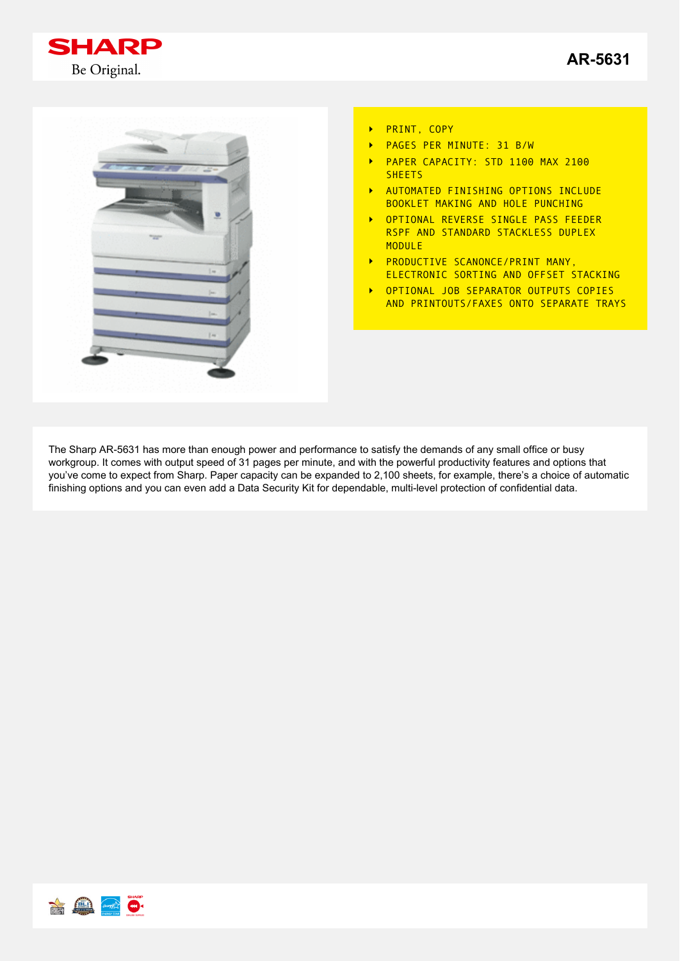



- PRINT, COPY  $\ddot{\phantom{1}}$
- PAGES PER MINUTE: 31 B/W  $\ddot{\phantom{1}}$
- PAPER CAPACITY: STD 1100 MAX 2100  $\ddot{\phantom{1}}$ **SHEETS**
- AUTOMATED FINISHING OPTIONS INCLUDE  $\ddot{\phantom{1}}$ BOOKLET MAKING AND HOLE PUNCHING
- OPTIONAL REVERSE SINGLE PASS FEEDER  $\blacktriangleright$ RSPF AND STANDARD STACKLESS DUPLEX **MODULE**
- PRODUCTIVE SCANONCE/PRINT MANY, ELECTRONIC SORTING AND OFFSET STACKING
- OPTIONAL JOB SEPARATOR OUTPUTS COPIES  $\blacktriangleright$ AND PRINTOUTS/FAXES ONTO SEPARATE TRAYS

The Sharp AR-5631 has more than enough power and performance to satisfy the demands of any small office or busy workgroup. It comes with output speed of 31 pages per minute, and with the powerful productivity features and options that you've come to expect from Sharp. Paper capacity can be expanded to 2,100 sheets, for example, there's a choice of automatic finishing options and you can even add a Data Security Kit for dependable, multi-level protection of confidential data.